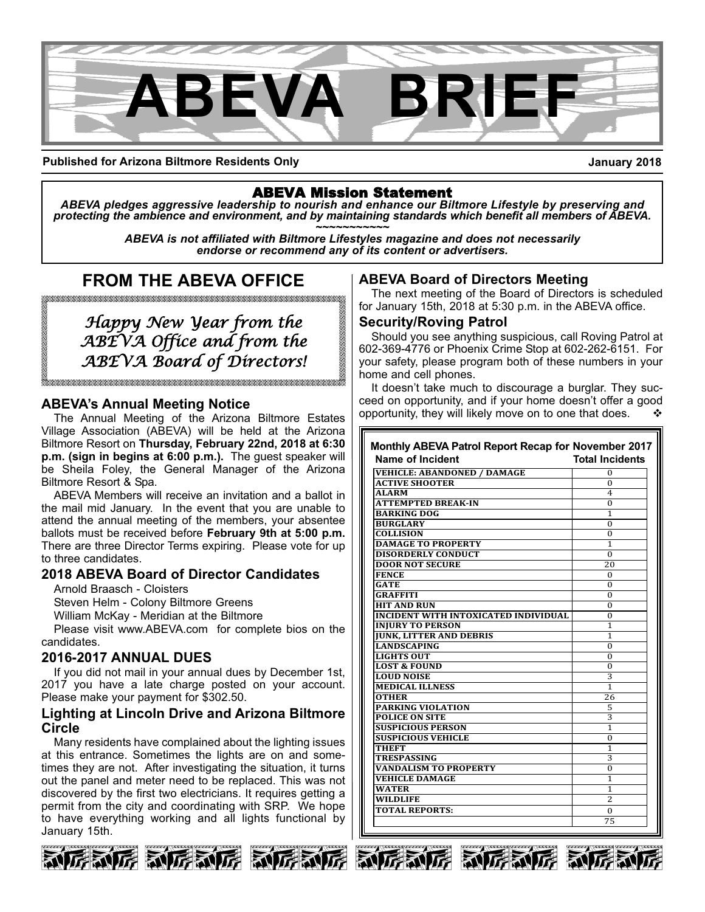

**Published for Arizona Biltmore Residents Only**

**January 2018**

## ABEVA Mission Statement

*ABEVA pledges aggressive leadership to nourish and enhance our Biltmore Lifestyle by preserving and* protecting the ambience and environment, and by maintaining standards which benefit all members of ABEVA.<br>ABEVA is not affiliated with Biltmore Lifestyles magazine and does not necessarily

*endorse or recommend any of its content or advertisers.*

# **FROM THE ABEVA OFFICE**

.<br>TATA TATAN TATAN TATAN TATAN TATAN TATAN TATAN TATAN TATAN TATAN TATAN TATAN TATAN TATAN TATAN TATAN TATAN TA

*Happy New Year from the ABEVA Office and from the ABEVA Board of Directors!*

## **ABEVA's Annual Meeting Notice**

The Annual Meeting of the Arizona Biltmore Estates Village Association (ABEVA) will be held at the Arizona Biltmore Resort on **Thursday, February 22nd, 2018 at 6:30 p.m. (sign in begins at 6:00 p.m.).** The guest speaker will be Sheila Foley, the General Manager of the Arizona Biltmore Resort & Spa.

ABEVA Members will receive an invitation and a ballot in the mail mid January. In the event that you are unable to attend the annual meeting of the members, your absentee ballots must be received before **February 9th at 5:00 p.m.** There are three Director Terms expiring. Please vote for up to three candidates.

## **2018 ABEVA Board of Director Candidates**

Arnold Braasch - Cloisters

Steven Helm - Colony Biltmore Greens

William McKay - Meridian at the Biltmore

Please visit www.ABEVA.com for complete bios on the candidates.

### **20162017 ANNUAL DUES**

If you did not mail in your annual dues by December 1st, 2017 you have a late charge posted on your account. Please make your payment for \$302.50.

### **Lighting at Lincoln Drive and Arizona Biltmore Circle**

Many residents have complained about the lighting issues at this entrance. Sometimes the lights are on and sometimes they are not. After investigating the situation, it turns out the panel and meter need to be replaced. This was not discovered by the first two electricians. It requires getting a permit from the city and coordinating with SRP. We hope to have everything working and all lights functional by January 15th.







## **ABEVA Board of Directors Meeting**

The next meeting of the Board of Directors is scheduled for January 15th, 2018 at 5:30 p.m. in the ABEVA office.

#### **Security/Roving Patrol**

Should you see anything suspicious, call Roving Patrol at 602-369-4776 or Phoenix Crime Stop at 602-262-6151. For your safety, please program both of these numbers in your home and cell phones.

It doesn't take much to discourage a burglar. They succeed on opportunity, and if your home doesn't offer a good opportunity, they will likely move on to one that does.

| Name of Incident                            | <b>Total Incidents</b> |
|---------------------------------------------|------------------------|
| <b>VEHICLE: ABANDONED / DAMAGE</b>          | 0                      |
| <b>ACTIVE SHOOTER</b>                       | $\Omega$               |
| <b>ALARM</b>                                | 4                      |
| <b>ATTEMPTED BREAK-IN</b>                   | 0                      |
| <b>BARKING DOG</b>                          | 1                      |
| <b>BURGLARY</b>                             | 0                      |
| <b>COLLISION</b>                            | 0                      |
| <b>DAMAGE TO PROPERTY</b>                   | $\mathbf{1}$           |
| <b>DISORDERLY CONDUCT</b>                   | $\Omega$               |
| <b>DOOR NOT SECURE</b>                      | 20                     |
| <b>FENCE</b>                                | 0                      |
| <b>GATE</b>                                 | 0                      |
| <b>GRAFFITI</b>                             | 0                      |
| <b>HIT AND RUN</b>                          | 0                      |
| <b>INCIDENT WITH INTOXICATED INDIVIDUAL</b> | $\Omega$               |
| <b>INJURY TO PERSON</b>                     | 1                      |
| <b>IUNK. LITTER AND DEBRIS</b>              | 1                      |
| <b>LANDSCAPING</b>                          | 0                      |
| <b>LIGHTS OUT</b>                           | 0                      |
| <b>LOST &amp; FOUND</b>                     | 0                      |
| <b>LOUD NOISE</b>                           | 3                      |
| <b>MEDICAL ILLNESS</b>                      | 1                      |
| <b>OTHER</b>                                | 26                     |
| <b>PARKING VIOLATION</b>                    | 5                      |
| <b>POLICE ON SITE</b>                       | 3                      |
| <b>SUSPICIOUS PERSON</b>                    | 1                      |
| <b>SUSPICIOUS VEHICLE</b>                   | 0                      |
| <b>THEFT</b>                                | 1                      |
| <b>TRESPASSING</b>                          | 3                      |
| <b>VANDALISM TO PROPERTY</b>                | $\Omega$               |
| <b>VEHICLE DAMAGE</b>                       | 1                      |
| <b>WATER</b>                                | 1                      |
| WILDLIFE                                    | 2                      |
| <b>TOTAL REPORTS:</b>                       | 0                      |
|                                             | 75                     |





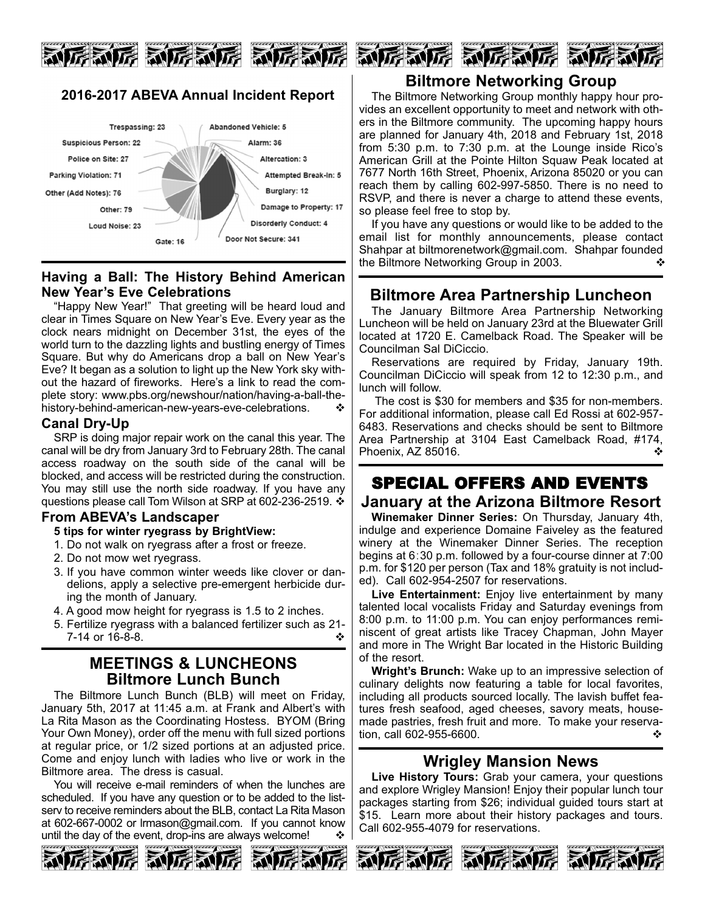

## **20162017 ABEVA Annual Incident Report**



### **Having a Ball: The History Behind American New Year's Eve Celebrations**

"Happy New Year!" That greeting will be heard loud and clear in Times Square on New Year's Eve. Every year as the clock nears midnight on December 31st, the eyes of the world turn to the dazzling lights and bustling energy of Times Square. But why do Americans drop a ball on New Year's Eve? It began as a solution to light up the New York sky without the hazard of fireworks. Here's a link to read the complete story: www.pbs.org/newshour/nation/having-a-ball-thehistory-behind-american-new-years-eve-celebrations.

### **Canal Dry-Up**

SRP is doing major repair work on the canal this year. The canal will be dry from January 3rd to February 28th. The canal access roadway on the south side of the canal will be blocked, and access will be restricted during the construction. You may still use the north side roadway. If you have any questions please call Tom Wilson at SRP at 602-236-2519.  $\cdot$ 

## **From ABEVA's Landscaper**

#### **5 tips for winter ryegrass by BrightView:**

- 1. Do not walk on ryegrass after a frost or freeze.
- 2. Do not mow wet ryegrass.
- 3. If you have common winter weeds like clover or dandelions, apply a selective pre-emergent herbicide during the month of January.
- 4. A good mow height for ryegrass is 1.5 to 2 inches.
- 5. Fertilize ryegrass with a balanced fertilizer such as 21  $7-14$  or  $16-8-8$ .

## **MEETINGS & LUNCHEONS Biltmore Lunch Bunch**

The Biltmore Lunch Bunch (BLB) will meet on Friday, January 5th, 2017 at 11:45 a.m. at Frank and Albert's with La Rita Mason as the Coordinating Hostess. BYOM (Bring Your Own Money), order off the menu with full sized portions at regular price, or 1/2 sized portions at an adjusted price. Come and enjoy lunch with ladies who live or work in the Biltmore area. The dress is casual.

You will receive e-mail reminders of when the lunches are scheduled. If you have any question or to be added to the listserv to receive reminders about the BLB, contact La Rita Mason at 602-667-0002 or Irmason@gmail.com. If you cannot know until the day of the event, drop-ins are always welcome!  $\cdot \cdot \cdot$ 







## **Biltmore Networking Group**

The Biltmore Networking Group monthly happy hour provides an excellent opportunity to meet and network with others in the Biltmore community. The upcoming happy hours are planned for January 4th, 2018 and February 1st, 2018 from 5:30 p.m. to 7:30 p.m. at the Lounge inside Rico's American Grill at the Pointe Hilton Squaw Peak located at 7677 North 16th Street, Phoenix, Arizona 85020 or you can reach them by calling 602-997-5850. There is no need to RSVP, and there is never a charge to attend these events, so please feel free to stop by.

If you have any questions or would like to be added to the email list for monthly announcements, please contact Shahpar at biltmorenetwork@gmail.com. Shahpar founded the Biltmore Networking Group in 2003.

## **Biltmore Area Partnership Luncheon**

The January Biltmore Area Partnership Networking Luncheon will be held on January 23rd at the Bluewater Grill located at 1720 E. Camelback Road. The Speaker will be Councilman Sal DiCiccio.

Reservations are required by Friday, January 19th. Councilman DiCiccio will speak from 12 to 12:30 p.m., and lunch will follow.

The cost is \$30 for members and \$35 for non-members. For additional information, please call Ed Rossi at 602-957-6483. Reservations and checks should be sent to Biltmore Area Partnership at 3104 East Camelback Road, #174, Phoenix, AZ 85016. variable  $\mathbf{\hat{v}}$ 

# SPECIAL OFFERS AND EVENTS **January at the Arizona Biltmore Resort**

**Winemaker Dinner Series:** On Thursday, January 4th, indulge and experience Domaine Faiveley as the featured winery at the Winemaker Dinner Series. The reception begins at 6:30 p.m. followed by a four-course dinner at 7:00 p.m. for \$120 per person (Tax and 18% gratuity is not included). Call 602-954-2507 for reservations.

**Live Entertainment:** Enjoy live entertainment by many talented local vocalists Friday and Saturday evenings from 8:00 p.m. to 11:00 p.m. You can enjoy performances reminiscent of great artists like Tracey Chapman, John Mayer and more in The Wright Bar located in the Historic Building of the resort.

**Wright's Brunch:** Wake up to an impressive selection of culinary delights now featuring a table for local favorites, including all products sourced locally. The lavish buffet features fresh seafood, aged cheeses, savory meats, housemade pastries, fresh fruit and more. To make your reservation, call 602-955-6600.  $\bullet$ 

# **Wrigley Mansion News**

**Live History Tours:** Grab your camera, your questions and explore Wrigley Mansion! Enjoy their popular lunch tour packages starting from \$26; individual guided tours start at \$15. Learn more about their history packages and tours. Call 602-955-4079 for reservations.





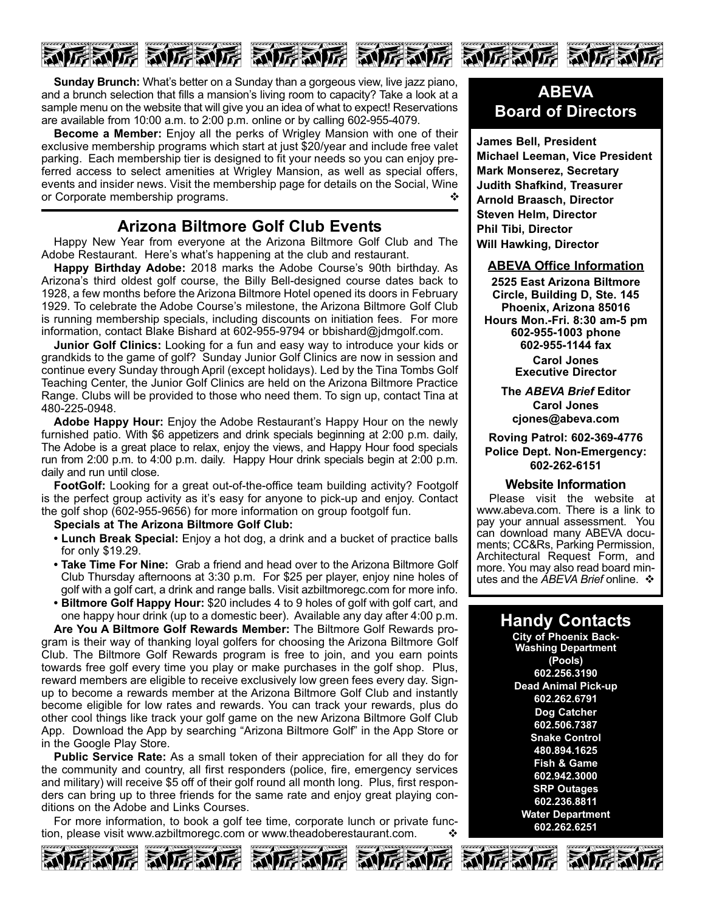

**Sunday Brunch:** What's better on a Sunday than a gorgeous view, live jazz piano, and a brunch selection that fills a mansion's living room to capacity? Take a look at a sample menu on the website that will give you an idea of what to expect! Reservations are available from 10:00 a.m. to 2:00 p.m. online or by calling 602-955-4079.

**Become a Member:** Enjoy all the perks of Wrigley Mansion with one of their exclusive membership programs which start at just \$20/year and include free valet parking. Each membership tier is designed to fit your needs so you can enjoy preferred access to select amenities at Wrigley Mansion, as well as special offers, events and insider news. Visit the membership page for details on the Social, Wine or Corporate membership programs.  $\diamond$ 

## **Arizona Biltmore Golf Club Events**

Happy New Year from everyone at the Arizona Biltmore Golf Club and The Adobe Restaurant. Here's what's happening at the club and restaurant.

**Happy Birthday Adobe:** 2018 marks the Adobe Course's 90th birthday. As Arizona's third oldest golf course, the Billy Belldesigned course dates back to 1928, a few months before the Arizona Biltmore Hotel opened its doors in February 1929. To celebrate the Adobe Course's milestone, the Arizona Biltmore Golf Club is running membership specials, including discounts on initiation fees. For more information, contact Blake Bishard at 602-955-9794 or bbishard@jdmgolf.com.

**Junior Golf Clinics:** Looking for a fun and easy way to introduce your kids or grandkids to the game of golf? Sunday Junior Golf Clinics are now in session and continue every Sunday through April (except holidays). Led by the Tina Tombs Golf Teaching Center, the Junior Golf Clinics are held on the Arizona Biltmore Practice Range. Clubs will be provided to those who need them. To sign up, contact Tina at 480-225-0948.

**Adobe Happy Hour:** Enjoy the Adobe Restaurant's Happy Hour on the newly furnished patio. With \$6 appetizers and drink specials beginning at 2:00 p.m. daily, The Adobe is a great place to relax, enjoy the views, and Happy Hour food specials run from 2:00 p.m. to 4:00 p.m. daily. Happy Hour drink specials begin at 2:00 p.m. daily and run until close.

**FootGolf:** Looking for a great out-of-the-office team building activity? Footgolf is the perfect group activity as it's easy for anyone to pick-up and enjoy. Contact the golf shop (602-955-9656) for more information on group footgolf fun.

#### **Specials at The Arizona Biltmore Golf Club:**

- **Lunch Break Special:** Enjoy a hot dog, a drink and a bucket of practice balls for only \$19.29.
- **Take Time For Nine:** Grab a friend and head over to the Arizona Biltmore Golf Club Thursday afternoons at 3:30 p.m. For \$25 per player, enjoy nine holes of golf with a golf cart, a drink and range balls. Visit azbiltmoregc.com for more info.
- **Biltmore Golf Happy Hour:** \$20 includes 4 to 9 holes of golf with golf cart, and one happy hour drink (up to a domestic beer). Available any day after 4:00 p.m.

**Are You A Biltmore Golf Rewards Member:** The Biltmore Golf Rewards program is their way of thanking loyal golfers for choosing the Arizona Biltmore Golf Club. The Biltmore Golf Rewards program is free to join, and you earn points towards free golf every time you play or make purchases in the golf shop. Plus, reward members are eligible to receive exclusively low green fees every day. Signup to become a rewards member at the Arizona Biltmore Golf Club and instantly become eligible for low rates and rewards. You can track your rewards, plus do other cool things like track your golf game on the new Arizona Biltmore Golf Club App. Download the App by searching "Arizona Biltmore Golf" in the App Store or in the Google Play Store.

**Public Service Rate:** As a small token of their appreciation for all they do for the community and country, all first responders (police, fire, emergency services and military) will receive \$5 off of their golf round all month long. Plus, first responders can bring up to three friends for the same rate and enjoy great playing conditions on the Adobe and Links Courses.

For more information, to book a golf tee time, corporate lunch or private function, please visit www.azbiltmoregc.com or www.theadoberestaurant.com.  $\diamond$ 











**James Bell, President Michael Leeman, Vice President Mark Monserez, Secretary Judith Shafkind, Treasurer Arnold Braasch, Director Steven Helm, Director Phil Tibi, Director Will Hawking, Director**

#### **ABEVA Office Information**

**2525 East Arizona Biltmore Circle, Building D, Ste. 145 Phoenix, Arizona 85016 Hours Mon.Fri. 8:30 am5 pm 6029551003 phone 6029551144 fax Carol Jones Executive Director**

> **The** *ABEVA Brief* **Editor Carol Jones cjones@abeva.com**

**Roving Patrol: 6023694776 Police Dept. Non-Emergency: 6022626151**

#### **Website Information**

Please visit the website at www.abeva.com. There is a link to pay your annual assessment. You can download many ABEVA documents; CC&Rs, Parking Permission, Architectural Request Form, and more. You may also read board minutes and the *ABEVA Brief* online. ❖

# **Handy Contacts**

**City of Phoenix Back-Washing Department (Pools) 602.256.3190 Dead Animal Pick-up 602.262.6791 Dog Catcher 602.506.7387 Snake Control 480.894.1625 Fish & Game 602.942.3000 SRP Outages 602.236.8811 Water Department 602.262.6251**